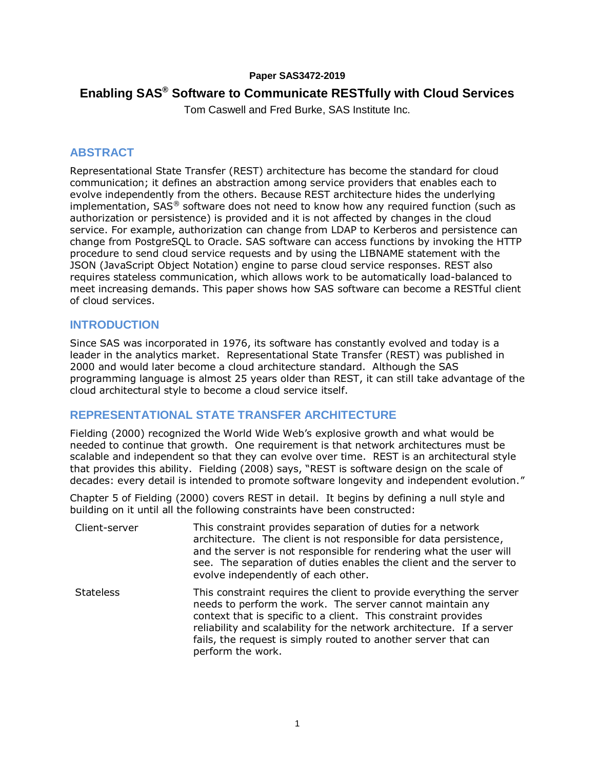### **Paper SAS3472-2019**

# **Enabling SAS® Software to Communicate RESTfully with Cloud Services**

Tom Caswell and Fred Burke, SAS Institute Inc.

## **ABSTRACT**

Representational State Transfer (REST) architecture has become the standard for cloud communication; it defines an abstraction among service providers that enables each to evolve independently from the others. Because REST architecture hides the underlying implementation,  $SAS^{\circledast}$  software does not need to know how any required function (such as authorization or persistence) is provided and it is not affected by changes in the cloud service. For example, authorization can change from LDAP to Kerberos and persistence can change from PostgreSQL to Oracle. SAS software can access functions by invoking the HTTP procedure to send cloud service requests and by using the LIBNAME statement with the JSON (JavaScript Object Notation) engine to parse cloud service responses. REST also requires stateless communication, which allows work to be automatically load-balanced to meet increasing demands. This paper shows how SAS software can become a RESTful client of cloud services.

# **INTRODUCTION**

Since SAS was incorporated in 1976, its software has constantly evolved and today is a leader in the analytics market. Representational State Transfer (REST) was published in 2000 and would later become a cloud architecture standard. Although the SAS programming language is almost 25 years older than REST, it can still take advantage of the cloud architectural style to become a cloud service itself.

## **REPRESENTATIONAL STATE TRANSFER ARCHITECTURE**

Fielding (2000) recognized the World Wide Web's explosive growth and what would be needed to continue that growth. One requirement is that network architectures must be scalable and independent so that they can evolve over time. REST is an architectural style that provides this ability. Fielding (2008) says, "REST is software design on the scale of decades: every detail is intended to promote software longevity and independent evolution."

Chapter 5 of Fielding (2000) covers REST in detail. It begins by defining a null style and building on it until all the following constraints have been constructed:

| Client-server    | This constraint provides separation of duties for a network<br>architecture. The client is not responsible for data persistence,<br>and the server is not responsible for rendering what the user will<br>see. The separation of duties enables the client and the server to<br>evolve independently of each other.                                                 |
|------------------|---------------------------------------------------------------------------------------------------------------------------------------------------------------------------------------------------------------------------------------------------------------------------------------------------------------------------------------------------------------------|
| <b>Stateless</b> | This constraint requires the client to provide everything the server<br>needs to perform the work. The server cannot maintain any<br>context that is specific to a client. This constraint provides<br>reliability and scalability for the network architecture. If a server<br>fails, the request is simply routed to another server that can<br>perform the work. |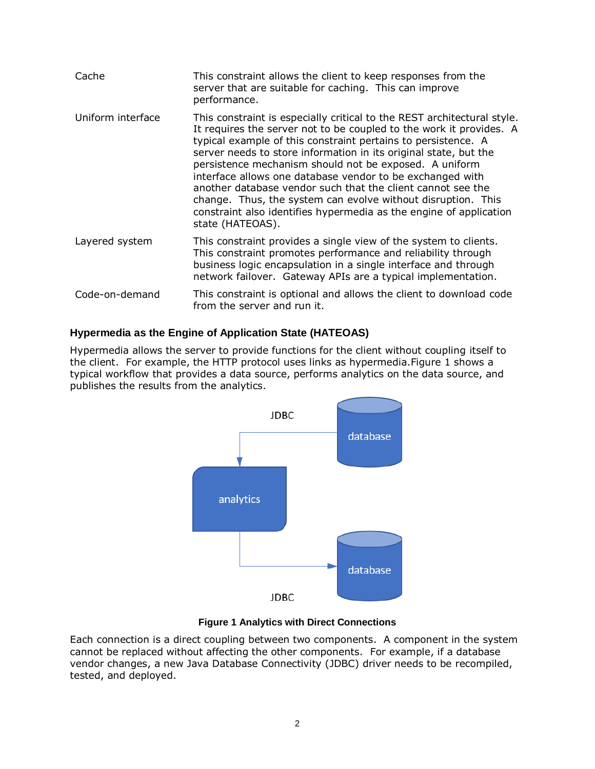| Cache             | This constraint allows the client to keep responses from the<br>server that are suitable for caching. This can improve<br>performance.                                                                                                                                                                                                                                                                                                                                                                                                                                                                                              |
|-------------------|-------------------------------------------------------------------------------------------------------------------------------------------------------------------------------------------------------------------------------------------------------------------------------------------------------------------------------------------------------------------------------------------------------------------------------------------------------------------------------------------------------------------------------------------------------------------------------------------------------------------------------------|
| Uniform interface | This constraint is especially critical to the REST architectural style.<br>It requires the server not to be coupled to the work it provides. A<br>typical example of this constraint pertains to persistence. A<br>server needs to store information in its original state, but the<br>persistence mechanism should not be exposed. A uniform<br>interface allows one database vendor to be exchanged with<br>another database vendor such that the client cannot see the<br>change. Thus, the system can evolve without disruption. This<br>constraint also identifies hypermedia as the engine of application<br>state (HATEOAS). |
| Layered system    | This constraint provides a single view of the system to clients.<br>This constraint promotes performance and reliability through<br>business logic encapsulation in a single interface and through<br>network failover. Gateway APIs are a typical implementation.                                                                                                                                                                                                                                                                                                                                                                  |
| Code-on-demand    | This constraint is optional and allows the client to download code<br>from the server and run it.                                                                                                                                                                                                                                                                                                                                                                                                                                                                                                                                   |

## **Hypermedia as the Engine of Application State (HATEOAS)**

Hypermedia allows the server to provide functions for the client without coupling itself to the client. For example, the HTTP protocol uses links as hypermedia[.Figure 1](#page-1-0) shows a typical workflow that provides a data source, performs analytics on the data source, and publishes the results from the analytics.



### **Figure 1 Analytics with Direct Connections**

<span id="page-1-0"></span>Each connection is a direct coupling between two components. A component in the system cannot be replaced without affecting the other components. For example, if a database vendor changes, a new Java Database Connectivity (JDBC) driver needs to be recompiled, tested, and deployed.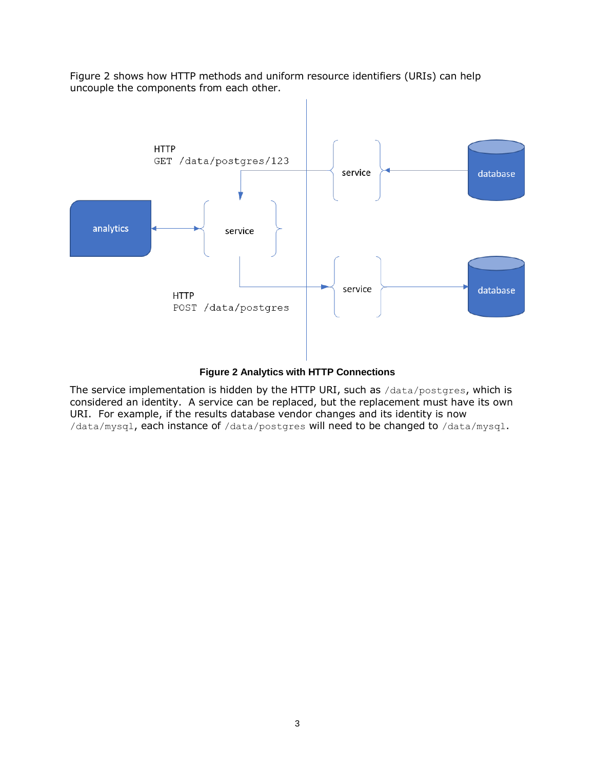[Figure 2](#page-2-0) shows how HTTP methods and uniform resource identifiers (URIs) can help uncouple the components from each other.



#### **Figure 2 Analytics with HTTP Connections**

<span id="page-2-0"></span>The service implementation is hidden by the HTTP URI, such as /data/postgres, which is considered an identity. A service can be replaced, but the replacement must have its own URI. For example, if the results database vendor changes and its identity is now /data/mysql, each instance of /data/postgres will need to be changed to /data/mysql.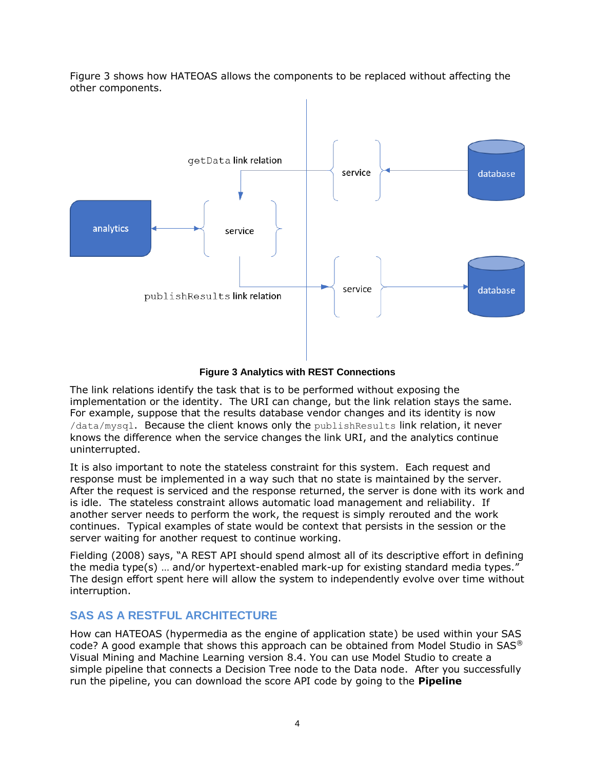[Figure 3](#page-3-0) shows how HATEOAS allows the components to be replaced without affecting the other components.





<span id="page-3-0"></span>The link relations identify the task that is to be performed without exposing the implementation or the identity. The URI can change, but the link relation stays the same. For example, suppose that the results database vendor changes and its identity is now /data/mysql. Because the client knows only the publishResults link relation, it never knows the difference when the service changes the link URI, and the analytics continue uninterrupted.

It is also important to note the stateless constraint for this system. Each request and response must be implemented in a way such that no state is maintained by the server. After the request is serviced and the response returned, the server is done with its work and is idle. The stateless constraint allows automatic load management and reliability. If another server needs to perform the work, the request is simply rerouted and the work continues. Typical examples of state would be context that persists in the session or the server waiting for another request to continue working.

Fielding (2008) says, "A REST API should spend almost all of its descriptive effort in defining the media type(s) … and/or hypertext-enabled mark-up for existing standard media types." The design effort spent here will allow the system to independently evolve over time without interruption.

# **SAS AS A RESTFUL ARCHITECTURE**

How can HATEOAS (hypermedia as the engine of application state) be used within your SAS code? A good example that shows this approach can be obtained from Model Studio in SAS<sup>®</sup> Visual Mining and Machine Learning version 8.4. You can use Model Studio to create a simple pipeline that connects a Decision Tree node to the Data node. After you successfully run the pipeline, you can download the score API code by going to the **Pipeline**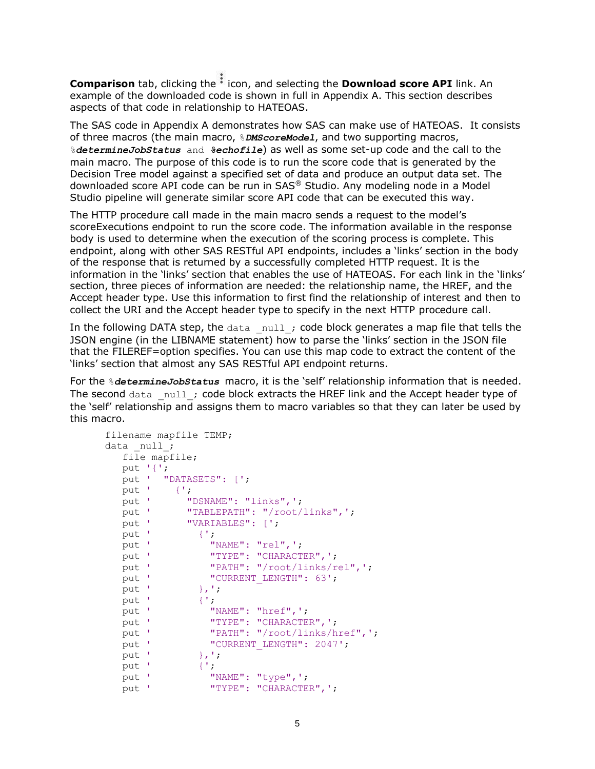**Comparison** tab, clicking the  $\cdot$  icon, and selecting the **Download score API** link. An example of the downloaded code is shown in full in Appendix A. This section describes aspects of that code in relationship to HATEOAS.

The SAS code in Appendix A demonstrates how SAS can make use of HATEOAS. It consists of three macros (the main macro, %*DMScoreModel*, and two supporting macros, %*determineJobStatus* and *%echofile*) as well as some set-up code and the call to the main macro. The purpose of this code is to run the score code that is generated by the Decision Tree model against a specified set of data and produce an output data set. The downloaded score API code can be run in SAS® Studio. Any modeling node in a Model Studio pipeline will generate similar score API code that can be executed this way.

The HTTP procedure call made in the main macro sends a request to the model's scoreExecutions endpoint to run the score code. The information available in the response body is used to determine when the execution of the scoring process is complete. This endpoint, along with other SAS RESTful API endpoints, includes a 'links' section in the body of the response that is returned by a successfully completed HTTP request. It is the information in the 'links' section that enables the use of HATEOAS. For each link in the 'links' section, three pieces of information are needed: the relationship name, the HREF, and the Accept header type. Use this information to first find the relationship of interest and then to collect the URI and the Accept header type to specify in the next HTTP procedure call.

In the following DATA step, the  $data\_null$ ; code block generates a map file that tells the JSON engine (in the LIBNAME statement) how to parse the 'links' section in the JSON file that the FILEREF=option specifies. You can use this map code to extract the content of the 'links' section that almost any SAS RESTful API endpoint returns.

For the %*determineJobStatus* macro, it is the 'self' relationship information that is needed. The second data null ; code block extracts the HREF link and the Accept header type of the 'self' relationship and assigns them to macro variables so that they can later be used by this macro.

```
 filename mapfile TEMP;
     data null;
        file mapfile;
        put '{';
        put ' "DATASETS": [';
        put ' {';
       put ' "DSNAME": "links", ';
        put ' "TABLEPATH": "/root/links",';
       put ' "VARIABLES": [';
       put ' {';
put ' "NAME": "rel", ';
put ' "TYPE": "CHARACTER", ';
       put ' "PATH": "/root/links/rel", ';<br>put ' "CURRENT LENGTH": 63';
                   " "CURRENT LENGTH": 63';
       put ' {}_{\text{put}} ',';<br>put ' {';
       put '
put ' "NAME": "href", ';
put ' "TYPE": "CHARACTER", ';
put ' "PATH": "/root/links/href", ';
put ' "CURRENT LENGTH": 2047';
       put ' },';
       put ' {';
       put ' "NAME": "type", ';
       put ' "TYPE": "CHARACTER", ';
```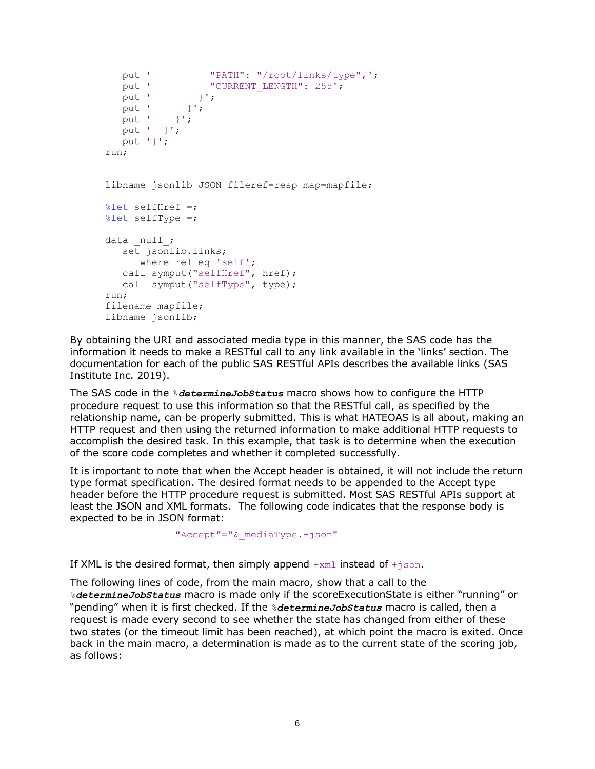```
put ' "PATH": "/root/links/type",';<br>put ' "CURRENT LENGTH": 255':
                  " CURRENT LENGTH": 255';
   put ' }';
   put ' ]';
   put ' \}';
   put ' ]';
   put '}';
 run;
 libname jsonlib JSON fileref=resp map=mapfile;
 %let selfHref =;
 %let selfType =;
data null;
   set jsonlib.links;
       where rel eq 'self';
   call symput("selfHref", href);
    call symput("selfType", type);
 run;
 filename mapfile;
 libname jsonlib;
```
By obtaining the URI and associated media type in this manner, the SAS code has the information it needs to make a RESTful call to any link available in the 'links' section. The documentation for each of the public SAS RESTful APIs describes the available links (SAS Institute Inc. 2019).

The SAS code in the %*determineJobStatus* macro shows how to configure the HTTP procedure request to use this information so that the RESTful call, as specified by the relationship name, can be properly submitted. This is what HATEOAS is all about, making an HTTP request and then using the returned information to make additional HTTP requests to accomplish the desired task. In this example, that task is to determine when the execution of the score code completes and whether it completed successfully.

It is important to note that when the Accept header is obtained, it will not include the return type format specification. The desired format needs to be appended to the Accept type header before the HTTP procedure request is submitted. Most SAS RESTful APIs support at least the JSON and XML formats. The following code indicates that the response body is expected to be in JSON format:

```
"Accept"="& mediaType.+json"
```
If XML is the desired format, then simply append  $+xml$  instead of  $+json$ .

The following lines of code, from the main macro, show that a call to the %*determineJobStatus* macro is made only if the scoreExecutionState is either "running" or "pending" when it is first checked. If the %*determineJobStatus* macro is called, then a request is made every second to see whether the state has changed from either of these two states (or the timeout limit has been reached), at which point the macro is exited. Once back in the main macro, a determination is made as to the current state of the scoring job, as follows: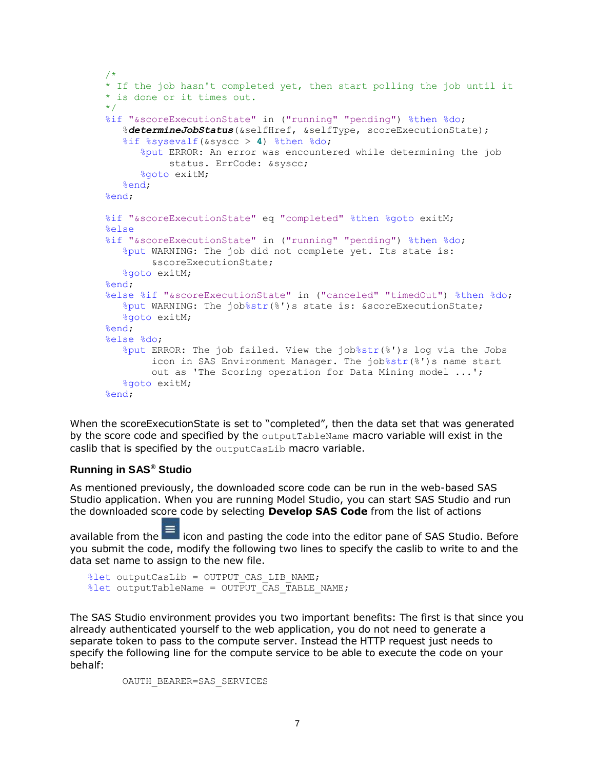```
 /*
 * If the job hasn't completed yet, then start polling the job until it
 * is done or it times out.
 */
 %if "&scoreExecutionState" in ("running" "pending") %then %do;
    %determineJobStatus(&selfHref, &selfType, scoreExecutionState);
    %if %sysevalf(&syscc > 4) %then %do;
       %put ERROR: An error was encountered while determining the job
            status. ErrCode: &syscc;
       %goto exitM;
    %end;
 %end;
 %if "&scoreExecutionState" eq "completed" %then %goto exitM;
 %else
 %if "&scoreExecutionState" in ("running" "pending") %then %do;
    %put WARNING: The job did not complete yet. Its state is:
         &scoreExecutionState;
    %goto exitM;
 %end;
 %else %if "&scoreExecutionState" in ("canceled" "timedOut") %then %do;
    %put WARNING: The job%str(%')s state is: &scoreExecutionState;
    %goto exitM;
 %end;
 %else %do;
    %put ERROR: The job failed. View the job%str(%')s log via the Jobs
         icon in SAS Environment Manager. The job%str(%')s name start
         out as 'The Scoring operation for Data Mining model ...';
    %goto exitM;
 %end;
```
When the scoreExecutionState is set to "completed", then the data set that was generated by the score code and specified by the outputTableName macro variable will exist in the caslib that is specified by the outputCasLib macro variable.

### **Running in SAS® Studio**

As mentioned previously, the downloaded score code can be run in the web-based SAS Studio application. When you are running Model Studio, you can start SAS Studio and run the downloaded score code by selecting **Develop SAS Code** from the list of actions

available from the icon and pasting the code into the editor pane of SAS Studio. Before you submit the code, modify the following two lines to specify the caslib to write to and the data set name to assign to the new file.

```
%let outputCasLib = OUTPUT CAS LIB NAME;
\text{Set} outputTableName = OUTPUT CAS TABLE NAME;
```
The SAS Studio environment provides you two important benefits: The first is that since you already authenticated yourself to the web application, you do not need to generate a separate token to pass to the compute server. Instead the HTTP request just needs to specify the following line for the compute service to be able to execute the code on your behalf:

OAUTH\_BEARER=SAS\_SERVICES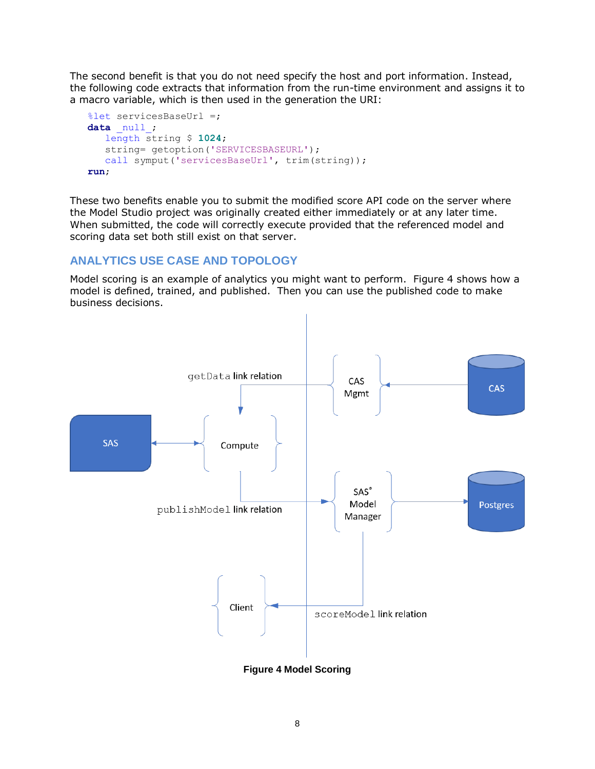The second benefit is that you do not need specify the host and port information. Instead, the following code extracts that information from the run-time environment and assigns it to a macro variable, which is then used in the generation the URI:

```
 %let servicesBaseUrl =;
data null;
    length string $ 1024;
   string= getoption('SERVICESBASEURL');
   call symput('servicesBaseUrl', trim(string));
 run;
```
These two benefits enable you to submit the modified score API code on the server where the Model Studio project was originally created either immediately or at any later time. When submitted, the code will correctly execute provided that the referenced model and scoring data set both still exist on that server.

# **ANALYTICS USE CASE AND TOPOLOGY**

Model scoring is an example of analytics you might want to perform. [Figure 4](#page-7-0) shows how a model is defined, trained, and published. Then you can use the published code to make business decisions.



<span id="page-7-0"></span>**Figure 4 Model Scoring**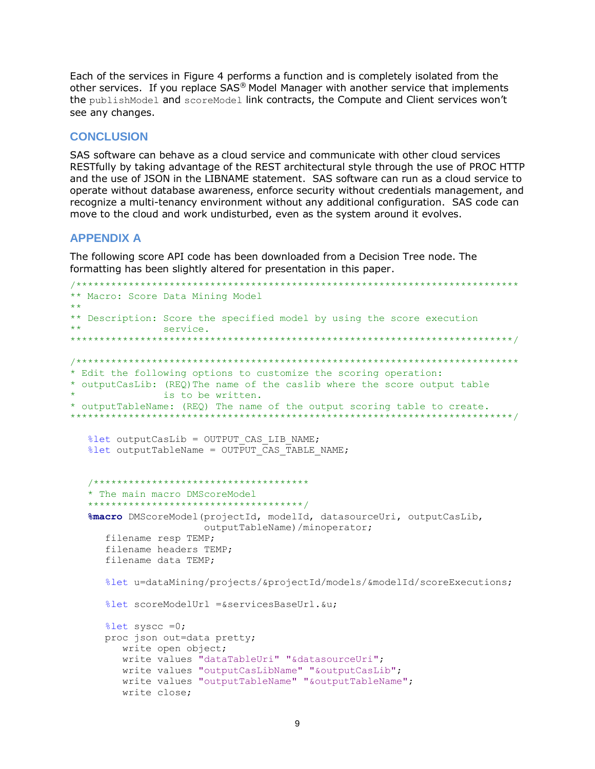Each of the services in [Figure 4](#page-7-0) performs a function and is completely isolated from the other services. If you replace SAS® Model Manager with another service that implements the publishModel and scoreModel link contracts, the Compute and Client services won't see any changes.

### **CONCLUSION**

SAS software can behave as a cloud service and communicate with other cloud services RESTfully by taking advantage of the REST architectural style through the use of PROC HTTP and the use of JSON in the LIBNAME statement. SAS software can run as a cloud service to operate without database awareness, enforce security without credentials management, and recognize a multi-tenancy environment without any additional configuration. SAS code can move to the cloud and work undisturbed, even as the system around it evolves.

## **APPENDIX A**

The following score API code has been downloaded from a Decision Tree node. The formatting has been slightly altered for presentation in this paper.

```
/****************************************************************************
** Macro: Score Data Mining Model
**
** Description: Score the specified model by using the score execution
** service.
****************************************************************************/
/****************************************************************************
* Edit the following options to customize the scoring operation:
* outputCasLib: (REQ)The name of the caslib where the score output table
             is to be written.
* outputTableName: (REQ) The name of the output scoring table to create. 
****************************************************************************/
  % let outputCasLib = OUTPUT CAS LIB NAME;% let outputTableName = OUTPUT CAS TABLE NAME; /*************************************
    * The main macro DMScoreModel
    *************************************/
    %macro DMScoreModel(projectId, modelId, datasourceUri, outputCasLib,
                       outputTableName)/minoperator;
      filename resp TEMP;
      filename headers TEMP;
      filename data TEMP;
      %let u=dataMining/projects/&projectId/models/&modelId/scoreExecutions;
      %let scoreModelUrl =&servicesBaseUrl.&u;
      %let syscc =0;
      proc json out=data pretty;
        write open object;
         write values "dataTableUri" "&datasourceUri";
         write values "outputCasLibName" "&outputCasLib";
         write values "outputTableName" "&outputTableName";
         write close;
```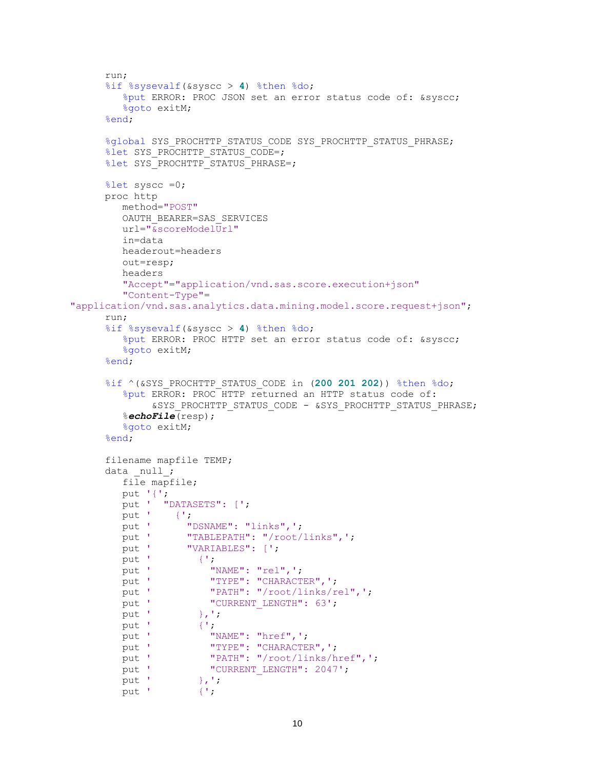```
 run;
      %if %sysevalf(&syscc > 4) %then %do;
         %put ERROR: PROC JSON set an error status code of: &syscc;
         %goto exitM;
      %end;
     %global SYS_PROCHTTP_STATUS_CODE SYS_PROCHTTP_STATUS_PHRASE;
     %let SYS PROCHTTP STATUS CODE=;
     %let SYS PROCHTTP STATUS PHRASE=;
      %let syscc =0;
      proc http
         method="POST"
         OAUTH_BEARER=SAS_SERVICES
         url="&scoreModelUrl"
         in=data
         headerout=headers
         out=resp;
         headers
         "Accept"="application/vnd.sas.score.execution+json"
         "Content-Type"=
"application/vnd.sas.analytics.data.mining.model.score.request+json";
      run;
      %if %sysevalf(&syscc > 4) %then %do;
         %put ERROR: PROC HTTP set an error status code of: &syscc;
         %goto exitM;
      %end;
      %if ^(&SYS_PROCHTTP_STATUS_CODE in (200 201 202)) %then %do;
         %put ERROR: PROC HTTP returned an HTTP status code of:
              &SYS_PROCHTTP_STATUS_CODE - &SYS_PROCHTTP_STATUS_PHRASE;
         %echoFile(resp);
         %goto exitM;
      %end;
      filename mapfile TEMP;
     data null;
         file mapfile;
         put '{';
         put ' "DATASETS": [';
        put ' {';<br>put ' "[
        put ' "DSNAME": "links", ';<br>put ' "TABLEPATH": "/root/
                 "TABLEPATH": "/root/links",';
        put ' "VARIABLES": [';
        put ' {';
        put ' "NAME": "rel", ';
        put ' "TYPE": "CHARACTER", ';
        put ' "PATH": "/root/links/rel", ';
        put ' "CURRENT_LENGTH": 63';
        put ' },';
        put ' {';
put ' "NAME": "href", ';
put ' "TYPE": "CHARACTER", ';
put ' "PATH": "/root/links/href", ';
put ' "CURRENT LENGTH": 2047';
put ' },';
        put ' \{';
```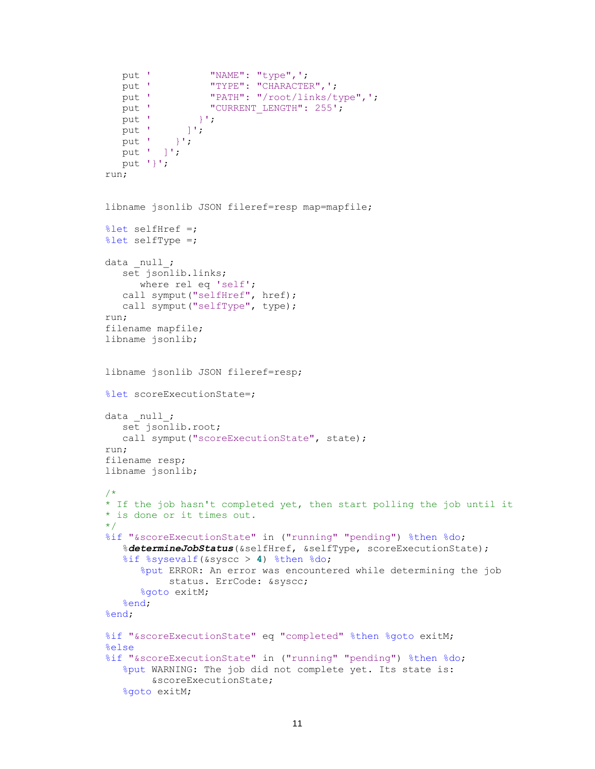```
put ' "NAME": "type", ';
   put ' "TYPE": "CHARACTER", ';<br>put ' "PATH": "/root/links/t
                 "PATH": "/root/links/type", ';
  put ' "CURRENT LENGTH": 255';
  put ' }';
  put ' ]';
  put' } }put ' ]';
   put '}';
 run;
 libname jsonlib JSON fileref=resp map=mapfile;
 %let selfHref =;
 %let selfType =;
data null;
  set jsonlib.links;
      where rel eq 'self';
    call symput("selfHref", href);
    call symput("selfType", type);
 run;
 filename mapfile;
 libname jsonlib;
 libname jsonlib JSON fileref=resp;
 %let scoreExecutionState=;
data null;
   set jsonlib.root;
   call symput ("scoreExecutionState", state);
 run;
 filename resp;
 libname jsonlib;
 /*
 * If the job hasn't completed yet, then start polling the job until it
 * is done or it times out.
 */
 %if "&scoreExecutionState" in ("running" "pending") %then %do;
    %determineJobStatus(&selfHref, &selfType, scoreExecutionState);
    %if %sysevalf(&syscc > 4) %then %do;
       %put ERROR: An error was encountered while determining the job
            status. ErrCode: &syscc;
       %goto exitM;
    %end;
 %end;
 %if "&scoreExecutionState" eq "completed" %then %goto exitM;
 %else
 %if "&scoreExecutionState" in ("running" "pending") %then %do;
    %put WARNING: The job did not complete yet. Its state is:
         &scoreExecutionState;
    %goto exitM;
```

```
11
```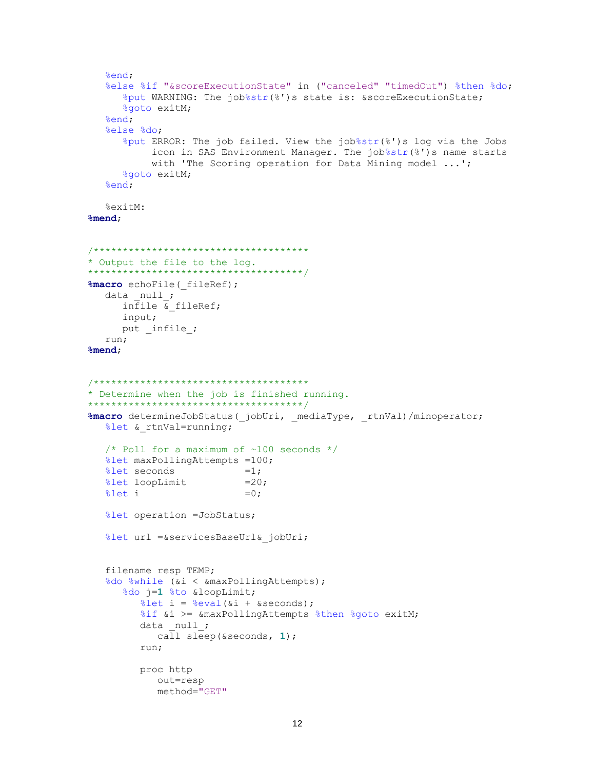```
 %end;
    %else %if "&scoreExecutionState" in ("canceled" "timedOut") %then %do;
       %put WARNING: The job%str(%')s state is: &scoreExecutionState;
       %goto exitM;
    %end;
    %else %do;
       %put ERROR: The job failed. View the job%str(%')s log via the Jobs
           icon in SAS Environment Manager. The job%str(%')s name starts
           with 'The Scoring operation for Data Mining model ...';
       %goto exitM;
    %end;
    %exitM:
 %mend;
 /*************************************
 * Output the file to the log.
 *************************************/
 %macro echoFile(_fileRef);
  data null;
     infile \overline{\&} fileRef;
      input;
     put infile;
    run;
 %mend;
 /*************************************
 * Determine when the job is finished running.
 *************************************/
 %macro determineJobStatus(_jobUri, _mediaType, _rtnVal)/minoperator;
  %let & rtnVal=running;
    /* Poll for a maximum of ~100 seconds */
    %let maxPollingAttempts =100;
   \text{Set} seconds =1;
   %let loopLimit =20;
  \text{Set } i =0; %let operation =JobStatus;
    %let url =&servicesBaseUrl&_jobUri;
    filename resp TEMP;
   %do %while (&i < &maxPollingAttempts);
       %do j=1 %to &loopLimit;
         \text{Set} i = \text{seval}(\&i + \&\text{seconds});%if &i >= &maxPollingAttempts %then %goto exitM;
         data null;
             call sleep(&seconds, 1);
          run;
          proc http
             out=resp
             method="GET"
```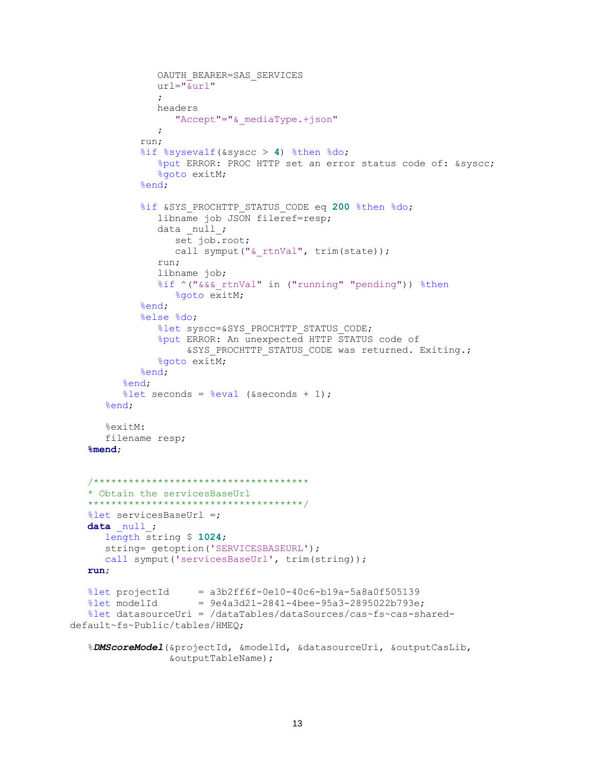```
 OAUTH_BEARER=SAS_SERVICES
                 url="&url"
\mathcal{L} ; and \mathcal{L} is the set of \mathcal{L} headers
                    "Accept"="&_mediaType.+json"
\mathcal{L} ; and \mathcal{L} is the set of \mathcal{L} run;
              %if %sysevalf(&syscc > 4) %then %do;
                 %put ERROR: PROC HTTP set an error status code of: &syscc;
                 %goto exitM;
              %end;
              %if &SYS_PROCHTTP_STATUS_CODE eq 200 %then %do;
                 libname job JSON fileref=resp;
                data null;
                    set job.root;
                   call symput("& rtnVal", trim(state));
                 run;
                 libname job;
                 %if ^("&&&_rtnVal" in ("running" "pending")) %then
                    %goto exitM;
              %end;
              %else %do;
                %let syscc=&SYS_PROCHTTP_STATUS_CODE;
                 %put ERROR: An unexpected HTTP STATUS code of
                     &SYS PROCHTTP STATUS CODE was returned. Exiting.;
                 %goto exitM;
              %end;
          %end;
         %let seconds = %eval (&seconds + 1);
       %end;
       %exitM:
       filename resp;
    %mend;
    /*************************************
    * Obtain the servicesBaseUrl
    *************************************/
    %let servicesBaseUrl =;
   data null;
       length string $ 1024;
      string= qetoption('SERVICESBASEURL');
      call symput('servicesBaseUrl', trim(string));
    run;
   %let projectId = a3b2ff6f-0e10-40c6-b19a-5a8a0f505139%let modelId = 9e4a3d21-2841-4bee-95a3-2895022b793e; %let datasourceUri = /dataTables/dataSources/cas~fs~cas-shared-
default~fs~Public/tables/HMEQ;
    %DMScoreModel(&projectId, &modelId, &datasourceUri, &outputCasLib,
                   &outputTableName);
```